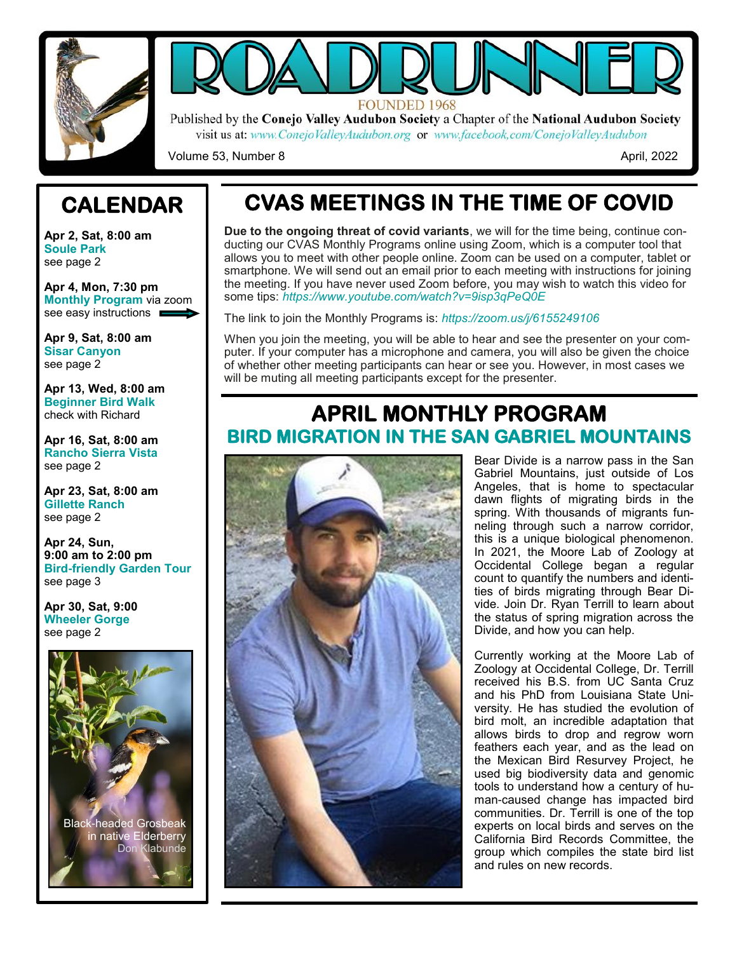



Published by the Conejo Valley Audubon Society a Chapter of the National Audubon Society visit us at: www.ConejoValleyAudubon.org or www.facebook.com/ConejoValleyAudubon

Volume 53, Number 8 April, 2022

# **CALENDAR**

**Apr 2, Sat, 8:00 am Soule Park** see page 2

**Apr 4, Mon, 7:30 pm Monthly Program** via zoom see easy instructions **n** 

**Apr 9, Sat, 8:00 am Sisar Canyon** see page 2

**Apr 13, Wed, 8:00 am Beginner Bird Walk** check with Richard

**Apr 16, Sat, 8:00 am Rancho Sierra Vista** see page 2

**Apr 23, Sat, 8:00 am Gillette Ranch** see page 2

**Apr 24, Sun, 9:00 am to 2:00 pm Bird-friendly Garden Tour** see page 3

**Apr 30, Sat, 9:00 Wheeler Gorge** see page 2



# **CVAS MEETINGS IN THE TIME OF COVID**

**Due to the ongoing threat of covid variants**, we will for the time being, continue conducting our CVAS Monthly Programs online using Zoom, which is a computer tool that allows you to meet with other people online. Zoom can be used on a computer, tablet or smartphone. We will send out an email prior to each meeting with instructions for joining the meeting. If you have never used Zoom before, you may wish to watch this video for some tips: *https://www.youtube.com/watch?v=9isp3qPeQ0E* 

The link to join the Monthly Programs is: *https://zoom.us/j/6155249106* 

When you join the meeting, you will be able to hear and see the presenter on your computer. If your computer has a microphone and camera, you will also be given the choice of whether other meeting participants can hear or see you. However, in most cases we will be muting all meeting participants except for the presenter.

## **APRIL MONTHLY PROGRAM BIRD MIGRATION IN THE SAN GABRIEL MOUNTAINS**



Bear Divide is a narrow pass in the San Gabriel Mountains, just outside of Los Angeles, that is home to spectacular dawn flights of migrating birds in the spring. With thousands of migrants funneling through such a narrow corridor, this is a unique biological phenomenon. In 2021, the Moore Lab of Zoology at Occidental College began a regular count to quantify the numbers and identities of birds migrating through Bear Divide. Join Dr. Ryan Terrill to learn about the status of spring migration across the Divide, and how you can help.

Currently working at the Moore Lab of Zoology at Occidental College, Dr. Terrill received his B.S. from UC Santa Cruz and his PhD from Louisiana State University. He has studied the evolution of bird molt, an incredible adaptation that allows birds to drop and regrow worn feathers each year, and as the lead on the Mexican Bird Resurvey Project, he used big biodiversity data and genomic tools to understand how a century of human-caused change has impacted bird communities. Dr. Terrill is one of the top experts on local birds and serves on the California Bird Records Committee, the group which compiles the state bird list and rules on new records.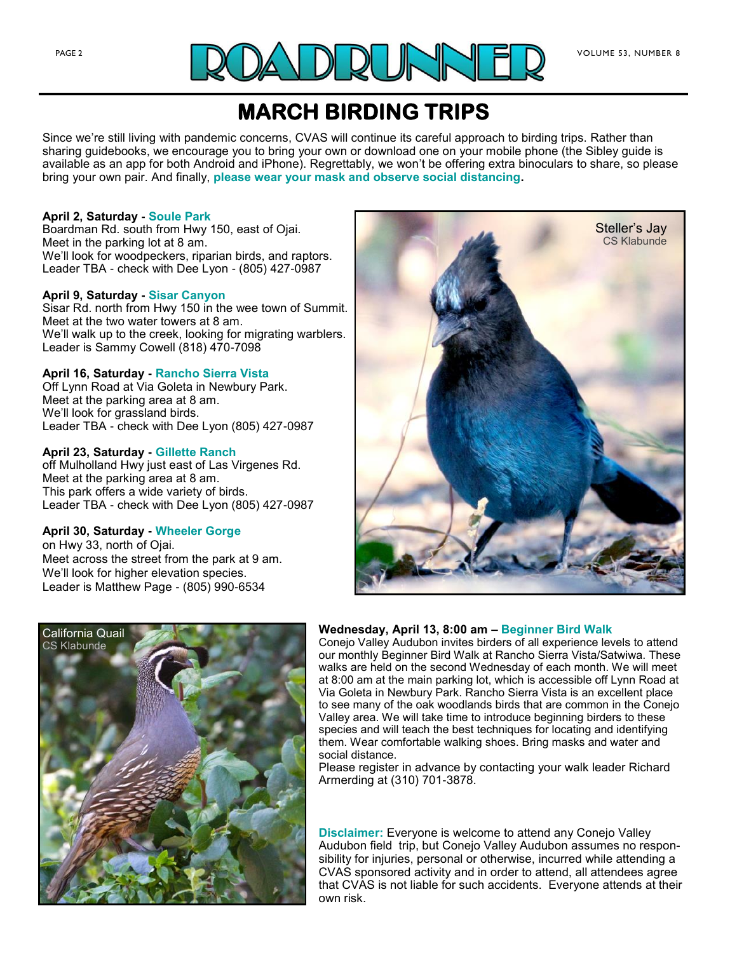

## **MARCH BIRDING TRIPS**

Since we're still living with pandemic concerns, CVAS will continue its careful approach to birding trips. Rather than sharing guidebooks, we encourage you to bring your own or download one on your mobile phone (the Sibley guide is available as an app for both Android and iPhone). Regrettably, we won't be offering extra binoculars to share, so please bring your own pair. And finally, **please wear your mask and observe social distancing.**

#### **April 2, Saturday - Soule Park**

Boardman Rd. south from Hwy 150, east of Ojai. Meet in the parking lot at 8 am. We'll look for woodpeckers, riparian birds, and raptors. Leader TBA - check with Dee Lyon - (805) 427-0987

#### **April 9, Saturday - Sisar Canyon**

Sisar Rd. north from Hwy 150 in the wee town of Summit. Meet at the two water towers at 8 am. We'll walk up to the creek, looking for migrating warblers. Leader is Sammy Cowell (818) 470-7098

#### **April 16, Saturday - Rancho Sierra Vista**

Off Lynn Road at Via Goleta in Newbury Park. Meet at the parking area at 8 am. We'll look for grassland birds. Leader TBA - check with Dee Lyon (805) 427-0987

#### **April 23, Saturday - Gillette Ranch**

off Mulholland Hwy just east of Las Virgenes Rd. Meet at the parking area at 8 am. This park offers a wide variety of birds. Leader TBA - check with Dee Lyon (805) 427-0987

#### **April 30, Saturday - Wheeler Gorge**

on Hwy 33, north of Ojai. Meet across the street from the park at 9 am. We'll look for higher elevation species. Leader is Matthew Page - (805) 990-6534





#### **Wednesday, April 13, 8:00 am – Beginner Bird Walk**

Conejo Valley Audubon invites birders of all experience levels to attend our monthly Beginner Bird Walk at Rancho Sierra Vista/Satwiwa. These walks are held on the second Wednesday of each month. We will meet at 8:00 am at the main parking lot, which is accessible off Lynn Road at Via Goleta in Newbury Park. Rancho Sierra Vista is an excellent place to see many of the oak woodlands birds that are common in the Conejo Valley area. We will take time to introduce beginning birders to these species and will teach the best techniques for locating and identifying them. Wear comfortable walking shoes. Bring masks and water and social distance.

Please register in advance by contacting your walk leader Richard Armerding at (310) 701-3878.

**Disclaimer:** Everyone is welcome to attend any Conejo Valley Audubon field trip, but Conejo Valley Audubon assumes no responsibility for injuries, personal or otherwise, incurred while attending a CVAS sponsored activity and in order to attend, all attendees agree that CVAS is not liable for such accidents. Everyone attends at their own risk.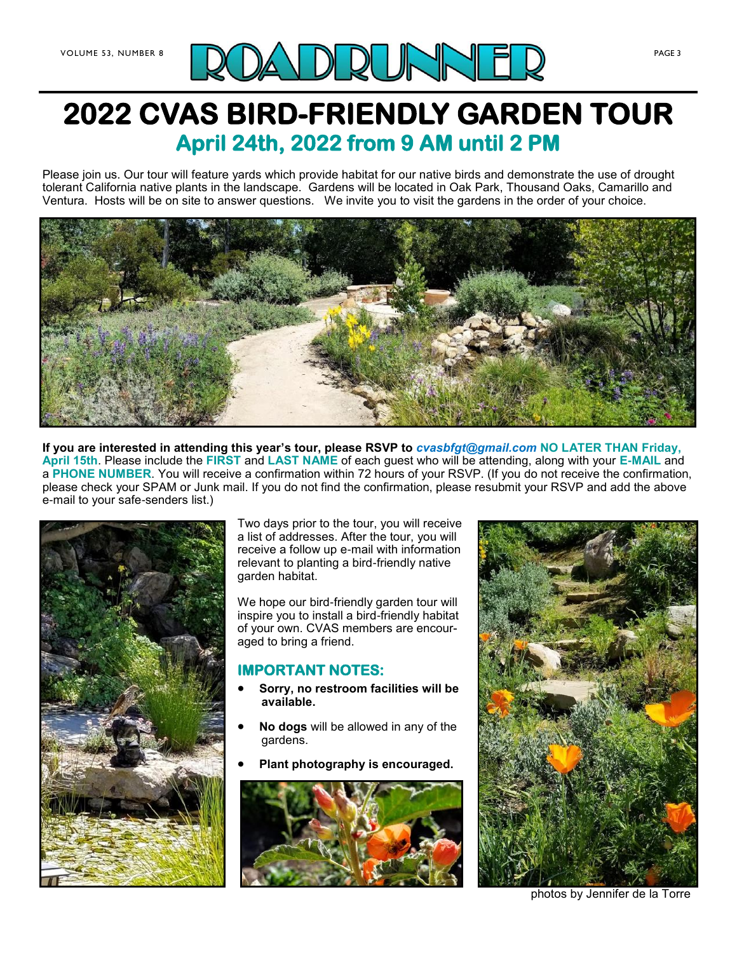

# **2022 CVAS BIRD-FRIENDLY GARDEN TOUR April 24th, 2022 from 9 AM until 2 PM**

Please join us. Our tour will feature yards which provide habitat for our native birds and demonstrate the use of drought tolerant California native plants in the landscape. Gardens will be located in Oak Park, Thousand Oaks, Camarillo and Ventura. Hosts will be on site to answer questions. We invite you to visit the gardens in the order of your choice.



**If you are interested in attending this year's tour, please RSVP to** *cvasbfgt@gmail.com* **NO LATER THAN Friday, April 15th**. Please include the **FIRST** and **LAST NAME** of each guest who will be attending, along with your **E-MAIL** and a **PHONE NUMBER**. You will receive a confirmation within 72 hours of your RSVP. (If you do not receive the confirmation, please check your SPAM or Junk mail. If you do not find the confirmation, please resubmit your RSVP and add the above e-mail to your safe-senders list.)



Two days prior to the tour, you will receive a list of addresses. After the tour, you will receive a follow up e-mail with information relevant to planting a bird-friendly native garden habitat.

We hope our bird-friendly garden tour will inspire you to install a bird-friendly habitat of your own. CVAS members are encouraged to bring a friend.

## **IMPORTANT NOTES:**

- **Sorry, no restroom facilities will be available.**
- **No dogs** will be allowed in any of the gardens.
- **Plant photography is encouraged.**





photos by Jennifer de la Torre